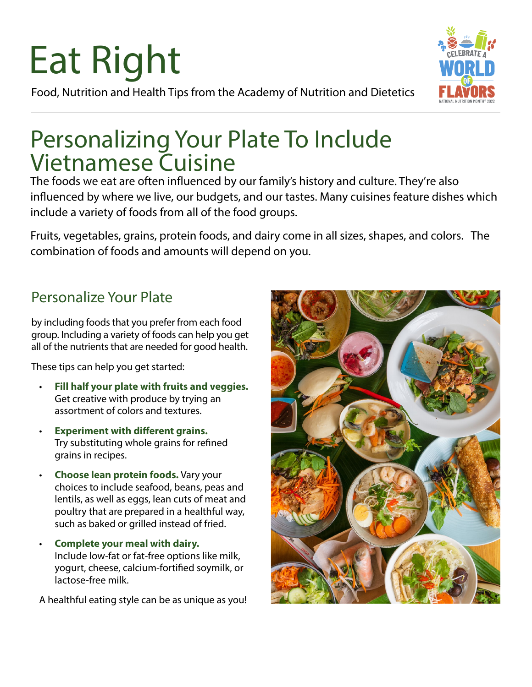# Eat Right

Food, Nutrition and Health Tips from the Academy of Nutrition and Dietetics

## Personalizing Your Plate To Include Vietnamese Cuisine

The foods we eat are often influenced by our family's history and culture. They're also influenced by where we live, our budgets, and our tastes. Many cuisines feature dishes which include a variety of foods from all of the food groups.

Fruits, vegetables, grains, protein foods, and dairy come in all sizes, shapes, and colors. The combination of foods and amounts will depend on you.

## Personalize Your Plate

by including foods that you prefer from each food group. Including a variety of foods can help you get all of the nutrients that are needed for good health.

These tips can help you get started:

- **Fill half your plate with fruits and veggies.** Get creative with produce by trying an assortment of colors and textures.
- **Experiment with different grains.** Try substituting whole grains for refined grains in recipes.
- **Choose lean protein foods.** Vary your choices to include seafood, beans, peas and lentils, as well as eggs, lean cuts of meat and poultry that are prepared in a healthful way, such as baked or grilled instead of fried.
- **Complete your meal with dairy.** Include low-fat or fat-free options like milk, yogurt, cheese, calcium-fortified soymilk, or lactose-free milk.

A healthful eating style can be as unique as you!